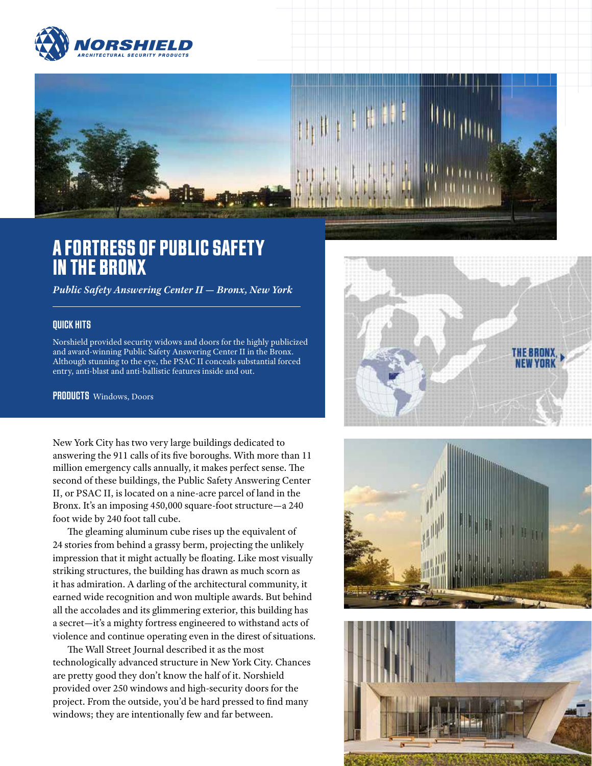



## A FORTRESS OF PUBLIC SAFETY IN THE BRONX

*Public Safety Answering Center II — Bronx, New York*

## QUICK HITS

Norshield provided security widows and doors for the highly publicized and award-winning Public Safety Answering Center II in the Bronx. Although stunning to the eye, the PSAC II conceals substantial forced entry, anti-blast and anti-ballistic features inside and out.

PRODUCTS Windows, Doors

New York City has two very large buildings dedicated to answering the 911 calls of its five boroughs. With more than 11 million emergency calls annually, it makes perfect sense. The second of these buildings, the Public Safety Answering Center II, or PSAC II, is located on a nine-acre parcel of land in the Bronx. It's an imposing 450,000 square-foot structure—a 240 foot wide by 240 foot tall cube.

The gleaming aluminum cube rises up the equivalent of 24 stories from behind a grassy berm, projecting the unlikely impression that it might actually be floating. Like most visually striking structures, the building has drawn as much scorn as it has admiration. A darling of the architectural community, it earned wide recognition and won multiple awards. But behind all the accolades and its glimmering exterior, this building has a secret—it's a mighty fortress engineered to withstand acts of violence and continue operating even in the direst of situations.

The Wall Street Journal described it as the most technologically advanced structure in New York City. Chances are pretty good they don't know the half of it. Norshield provided over 250 windows and high-security doors for the project. From the outside, you'd be hard pressed to find many windows; they are intentionally few and far between.